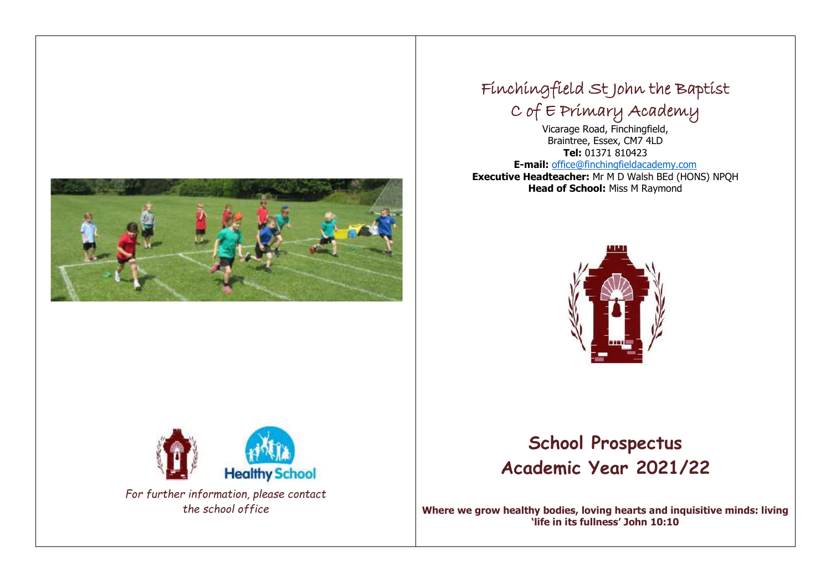

## Finchingfield St John the Baptist C of E Primary Academy

Vicarage Road, Finchingfield, Braintree, Essex, CM7 4LD **Tel:** 01371 810423 **E-mail:** [office@finchingfieldacademy.com](mailto:office@finchingfieldacademy.com) **Executive Headteacher:** Mr M D Walsh BEd (HONS) NPQH **Head of School:** Miss M Raymond





*the school office*

# **School Prospectus Academic Year 2021/22**

**Where we grow healthy bodies, loving hearts and inquisitive minds: living 'life in its fullness' John 10:10**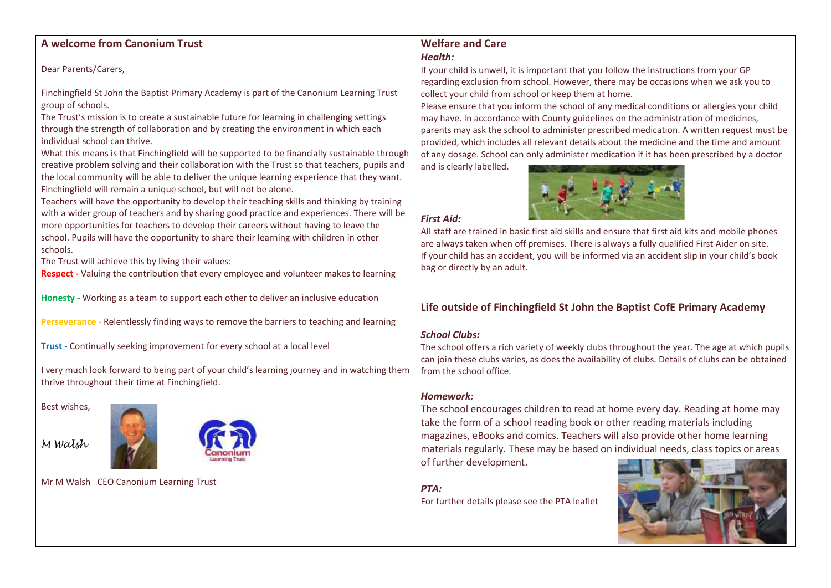### **A welcome from Canonium Trust**

Dear Parents/Carers,

Finchingfield St John the Baptist Primary Academy is part of the Canonium Learning Trust group of schools.

The Trust's mission is to create a sustainable future for learning in challenging settings through the strength of collaboration and by creating the environment in which each individual school can thrive.

What this means is that Finchingfield will be supported to be financially sustainable through creative problem solving and their collaboration with the Trust so that teachers, pupils and the local community will be able to deliver the unique learning experience that they want. Finchingfield will remain a unique school, but will not be alone.

Teachers will have the opportunity to develop their teaching skills and thinking by training with a wider group of teachers and by sharing good practice and experiences. There will be more opportunities for teachers to develop their careers without having to leave the school. Pupils will have the opportunity to share their learning with children in other schools.

The Trust will achieve this by living their values:

**Respect -** Valuing the contribution that every employee and volunteer makes to learning

**Honesty -** Working as a team to support each other to deliver an inclusive education

**Perseverance -** Relentlessly finding ways to remove the barriers to teaching and learning

**Trust -** Continually seeking improvement for every school at a local level

I very much look forward to being part of your child's learning journey and in watching them thrive throughout their time at Finchingfield.

Best wishes,

*M Walsh*



Mr M Walsh CEO Canonium Learning Trust

## **Welfare and Care** *Health:*

If your child is unwell, it is important that you follow the instructions from your GP regarding exclusion from school. However, there may be occasions when we ask you to collect your child from school or keep them at home.

Please ensure that you inform the school of any medical conditions or allergies your child may have. In accordance with County guidelines on the administration of medicines, parents may ask the school to administer prescribed medication. A written request must be provided, which includes all relevant details about the medicine and the time and amount of any dosage. School can only administer medication if it has been prescribed by a doctor

and is clearly labelled.



## *First Aid:*

All staff are trained in basic first aid skills and ensure that first aid kits and mobile phones are always taken when off premises. There is always a fully qualified First Aider on site. If your child has an accident, you will be informed via an accident slip in your child's book bag or directly by an adult.

## **Life outside of Finchingfield St John the Baptist CofE Primary Academy**

#### *School Clubs:*

The school offers a rich variety of weekly clubs throughout the year. The age at which pupils can join these clubs varies, as does the availability of clubs. Details of clubs can be obtained from the school office.

## *Homework:*

The school encourages children to read at home every day. Reading at home may take the form of a school reading book or other reading materials including magazines, eBooks and comics. Teachers will also provide other home learning materials regularly. These may be based on individual needs, class topics or areas of further development.

*PTA:*

For further details please see the PTA leaflet

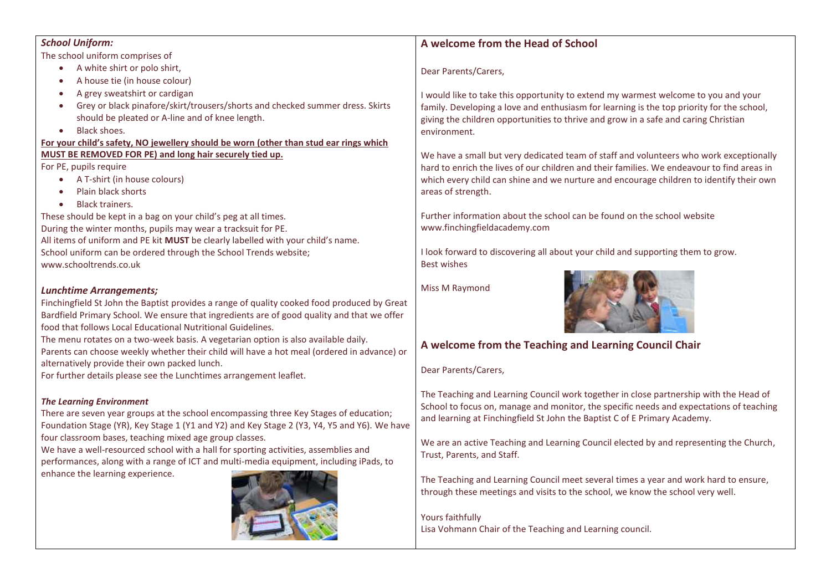| <b>School Uniform:</b>                                                                                                                                                                                                                                                                     | A welcome from the Head of School                                                          |
|--------------------------------------------------------------------------------------------------------------------------------------------------------------------------------------------------------------------------------------------------------------------------------------------|--------------------------------------------------------------------------------------------|
| The school uniform comprises of                                                                                                                                                                                                                                                            |                                                                                            |
| A white shirt or polo shirt,                                                                                                                                                                                                                                                               | Dear Parents/Carers,                                                                       |
| A house tie (in house colour)<br>- 0                                                                                                                                                                                                                                                       |                                                                                            |
| A grey sweatshirt or cardigan<br>$\bullet$                                                                                                                                                                                                                                                 | I would like to take this opportunity to extend my warmest welcome to you and your         |
| Grey or black pinafore/skirt/trousers/shorts and checked summer dress. Skirts                                                                                                                                                                                                              | family. Developing a love and enthusiasm for learning is the top priority for the school,  |
| should be pleated or A-line and of knee length.                                                                                                                                                                                                                                            | giving the children opportunities to thrive and grow in a safe and caring Christian        |
| Black shoes.<br>$\bullet$                                                                                                                                                                                                                                                                  | environment.                                                                               |
| For your child's safety, NO jewellery should be worn (other than stud ear rings which                                                                                                                                                                                                      |                                                                                            |
| MUST BE REMOVED FOR PE) and long hair securely tied up.                                                                                                                                                                                                                                    | We have a small but very dedicated team of staff and volunteers who work exceptionally     |
| For PE, pupils require                                                                                                                                                                                                                                                                     | hard to enrich the lives of our children and their families. We endeavour to find areas in |
| A T-shirt (in house colours)                                                                                                                                                                                                                                                               | which every child can shine and we nurture and encourage children to identify their own    |
| Plain black shorts                                                                                                                                                                                                                                                                         | areas of strength.                                                                         |
| <b>Black trainers.</b>                                                                                                                                                                                                                                                                     |                                                                                            |
| These should be kept in a bag on your child's peg at all times.                                                                                                                                                                                                                            | Further information about the school can be found on the school website                    |
| During the winter months, pupils may wear a tracksuit for PE.                                                                                                                                                                                                                              | www.finchingfieldacademy.com                                                               |
| All items of uniform and PE kit MUST be clearly labelled with your child's name.                                                                                                                                                                                                           |                                                                                            |
| School uniform can be ordered through the School Trends website;                                                                                                                                                                                                                           | I look forward to discovering all about your child and supporting them to grow.            |
| www.schooltrends.co.uk                                                                                                                                                                                                                                                                     | <b>Best wishes</b>                                                                         |
| <b>Lunchtime Arrangements;</b><br>Finchingfield St John the Baptist provides a range of quality cooked food produced by Great<br>Bardfield Primary School. We ensure that ingredients are of good quality and that we offer<br>food that follows Local Educational Nutritional Guidelines. | Miss M Raymond                                                                             |
| The menu rotates on a two-week basis. A vegetarian option is also available daily.<br>Parents can choose weekly whether their child will have a hot meal (ordered in advance) or<br>alternatively provide their own packed lunch.                                                          | A welcome from the Teaching and Learning Council Chair                                     |

For further details please see the Lunchtimes arrangement leaflet.

#### *The Learning Environment*

There are seven year groups at the school encompassing three Key Stages of education; Foundation Stage (YR), Key Stage 1 (Y1 and Y2) and Key Stage 2 (Y3, Y4, Y5 and Y6). We have four classroom bases, teaching mixed age group classes.

We have a well-resourced school with a hall for sporting activities, assemblies and performances, along with a range of ICT and multi-media equipment, including iPads, to enhance the learning experience.



Dear Parents/Carers,

The Teaching and Learning Council work together in close partnership with the Head of School to focus on, manage and monitor, the specific needs and expectations of teaching and learning at Finchingfield St John the Baptist C of E Primary Academy.

We are an active Teaching and Learning Council elected by and representing the Church, Trust, Parents, and Staff.

The Teaching and Learning Council meet several times a year and work hard to ensure, through these meetings and visits to the school, we know the school very well.

Yours faithfully Lisa Vohmann Chair of the Teaching and Learning council.